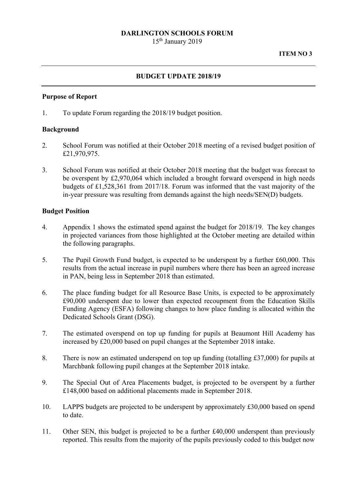### **DARLINGTON SCHOOLS FORUM**

15th January 2019

### **BUDGET UPDATE 2018/19**

#### **Purpose of Report**

1. To update Forum regarding the 2018/19 budget position.

### **Background**

- 2. School Forum was notified at their October 2018 meeting of a revised budget position of £21,970,975.
- 3. School Forum was notified at their October 2018 meeting that the budget was forecast to be overspent by £2,970,064 which included a brought forward overspend in high needs budgets of £1,528,361 from 2017/18. Forum was informed that the vast majority of the in-year pressure was resulting from demands against the high needs/SEN(D) budgets.

#### **Budget Position**

- 4. Appendix 1 shows the estimated spend against the budget for 2018/19. The key changes in projected variances from those highlighted at the October meeting are detailed within the following paragraphs.
- 5. The Pupil Growth Fund budget, is expected to be underspent by a further £60,000. This results from the actual increase in pupil numbers where there has been an agreed increase in PAN, being less in September 2018 than estimated.
- 6. The place funding budget for all Resource Base Units, is expected to be approximately £90,000 underspent due to lower than expected recoupment from the Education Skills Funding Agency (ESFA) following changes to how place funding is allocated within the Dedicated Schools Grant (DSG).
- 7. The estimated overspend on top up funding for pupils at Beaumont Hill Academy has increased by £20,000 based on pupil changes at the September 2018 intake.
- 8. There is now an estimated underspend on top up funding (totalling £37,000) for pupils at Marchbank following pupil changes at the September 2018 intake.
- £148,000 based on additional placements made in September 2018. 9. The Special Out of Area Placements budget, is projected to be overspent by a further
- 10. LAPPS budgets are projected to be underspent by approximately £30,000 based on spend to date.
- 11. Other SEN, this budget is projected to be a further £40,000 underspent than previously reported. This results from the majority of the pupils previously coded to this budget now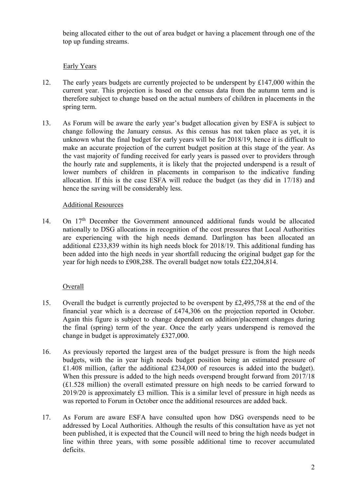being allocated either to the out of area budget or having a placement through one of the top up funding streams.

# Early Years

- current year. This projection is based on the census data from the autumn term and is 12. The early years budgets are currently projected to be underspent by £147,000 within the therefore subject to change based on the actual numbers of children in placements in the spring term.
- 13. As Forum will be aware the early year's budget allocation given by ESFA is subject to change following the January census. As this census has not taken place as yet, it is unknown what the final budget for early years will be for 2018/19, hence it is difficult to make an accurate projection of the current budget position at this stage of the year. As the vast majority of funding received for early years is passed over to providers through the hourly rate and supplements, it is likely that the projected underspend is a result of lower numbers of children in placements in comparison to the indicative funding allocation. If this is the case ESFA will reduce the budget (as they did in 17/18) and hence the saving will be considerably less.

## Additional Resources

14. On 17<sup>th</sup> December the Government announced additional funds would be allocated nationally to DSG allocations in recognition of the cost pressures that Local Authorities are experiencing with the high needs demand. Darlington has been allocated an additional £233,839 within its high needs block for 2018/19. This additional funding has been added into the high needs in year shortfall reducing the original budget gap for the year for high needs to £908,288. The overall budget now totals £22,204,814.

## Overall

- 15. Overall the budget is currently projected to be overspent by £2,495,758 at the end of the financial year which is a decrease of £474,306 on the projection reported in October. Again this figure is subject to change dependent on addition/placement changes during the final (spring) term of the year. Once the early years underspend is removed the change in budget is approximately £327,000.
- 16. As previously reported the largest area of the budget pressure is from the high needs budgets, with the in year high needs budget position being an estimated pressure of £1.408 million, (after the additional £234,000 of resources is added into the budget). When this pressure is added to the high needs overspend brought forward from 2017/18 (£1.528 million) the overall estimated pressure on high needs to be carried forward to 2019/20 is approximately £3 million. This is a similar level of pressure in high needs as was reported to Forum in October once the additional resources are added back.
- 17. As Forum are aware ESFA have consulted upon how DSG overspends need to be addressed by Local Authorities. Although the results of this consultation have as yet not been published, it is expected that the Council will need to bring the high needs budget in line within three years, with some possible additional time to recover accumulated deficits.